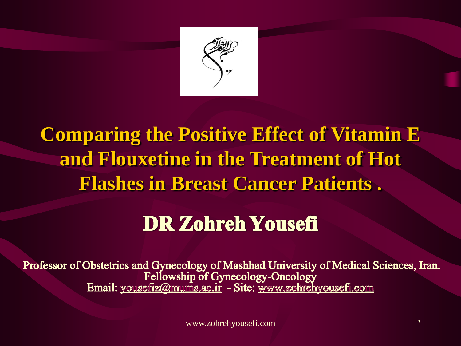

## **Comparing the Positive Effect of Vitamin E and Flouxetine in the Treatment of Hot Flashes in Breast Cancer Patients .**

## **DR Zohreh Yousefi**

Professor of Obstetrics and Gynecology of Mashhad University of Medical Sciences, Iran.<br>Fellowship of Gynecology-Oncology<br>Email: yousefiz@mums.ac.ir - Site: www.zohrehyousefi.com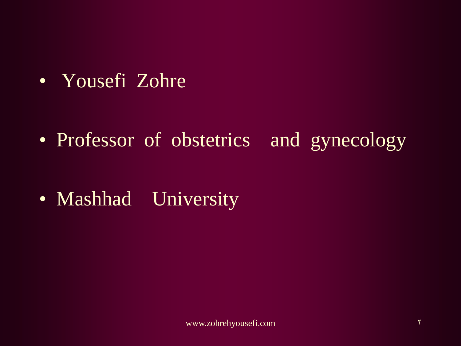• Yousefi Zohre

• Professor of obstetrics and gynecology

• Mashhad University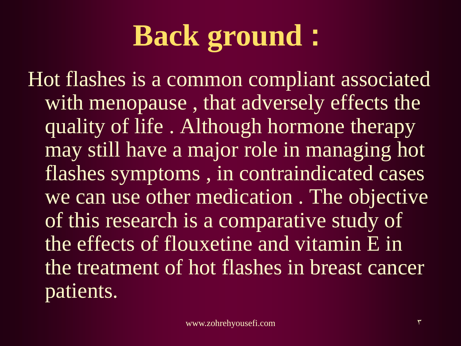## **Back ground :**

Hot flashes is a common compliant associated with menopause , that adversely effects the quality of life . Although hormone therapy may still have a major role in managing hot flashes symptoms , in contraindicated cases we can use other medication . The objective of this research is a comparative study of the effects of flouxetine and vitamin E in the treatment of hot flashes in breast cancer patients.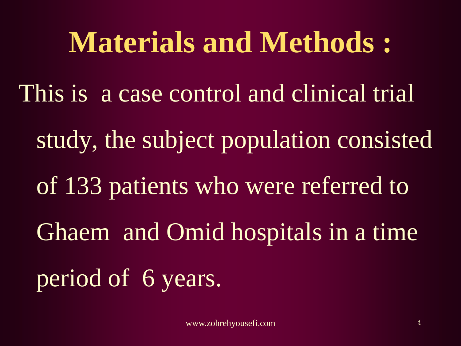# **Materials and Methods :** This is a case control and clinical trial study, the subject population consisted of 133 patients who were referred to Ghaem and Omid hospitals in a time

period of 6 years.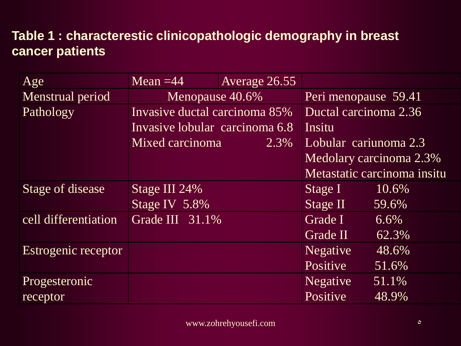#### **Table 1 : characterestic clinicopathologic demography in breast cancer patients**

| Age                  | Mean $=$ 44                    | Average 26.55 |                             |                         |  |
|----------------------|--------------------------------|---------------|-----------------------------|-------------------------|--|
| Menstrual period     | Menopause 40.6%                |               | Peri menopause 59.41        |                         |  |
| Pathology            | Invasive ductal carcinoma 85%  |               | Ductal carcinoma 2.36       |                         |  |
|                      | Invasive lobular carcinoma 6.8 |               | Insitu                      |                         |  |
|                      | Mixed carcinoma                | 2.3%          | Lobular cariunoma 2.3       |                         |  |
|                      |                                |               |                             | Medolary carcinoma 2.3% |  |
|                      |                                |               | Metastatic carcinoma insitu |                         |  |
| Stage of disease     | Stage III 24%                  |               | Stage I                     | 10.6%                   |  |
|                      | Stage IV 5.8%                  |               | Stage II                    | 59.6%                   |  |
| cell differentiation | Grade III 31.1%                |               | Grade I                     | $6.6\%$                 |  |
|                      |                                |               | Grade II                    | $62.3\%$                |  |
| Estrogenic receptor  |                                |               | <b>Negative</b>             | 48.6%                   |  |
|                      |                                |               | Positive                    | 51.6%                   |  |
| Progesteronic        |                                |               | <b>Negative</b>             | 51.1%                   |  |
| receptor             |                                |               | Positive                    | 48.9%                   |  |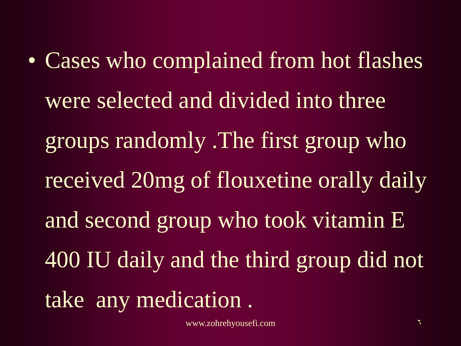• Cases who complained from hot flashes were selected and divided into three groups randomly .The first group who received 20mg of flouxetine orally daily and second group who took vitamin E 400 IU daily and the third group did not take any medication .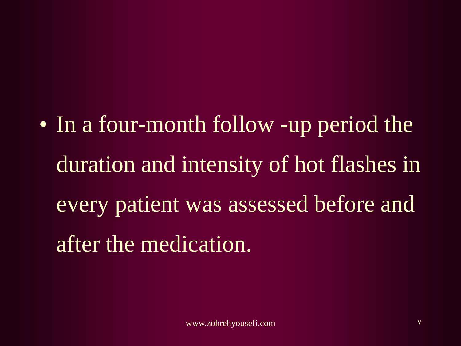• In a four-month follow -up period the duration and intensity of hot flashes in every patient was assessed before and after the medication.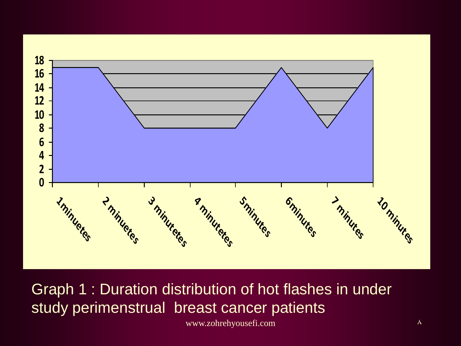

Graph 1 : Duration distribution of hot flashes in under study perimenstrual breast cancer patients

www.zohrehyousefi.com 8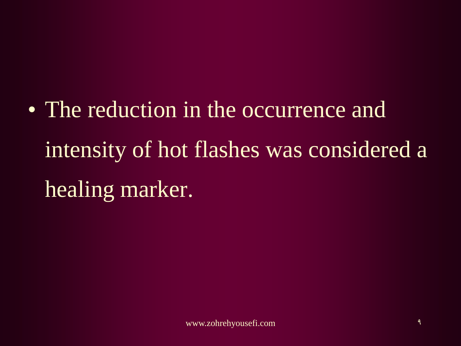• The reduction in the occurrence and intensity of hot flashes was considered a healing marker.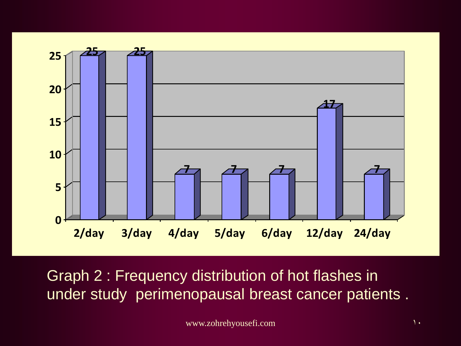

Graph 2 : Frequency distribution of hot flashes in under study perimenopausal breast cancer patients .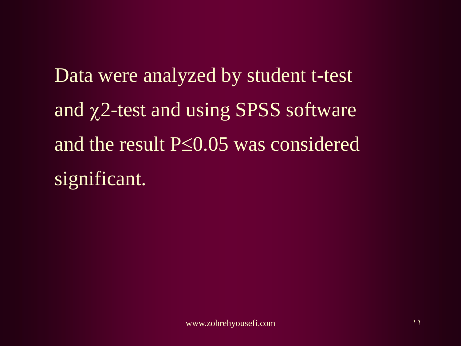Data were analyzed by student t-test and  $\chi$ 2-test and using SPSS software and the result  $P\leq 0.05$  was considered significant.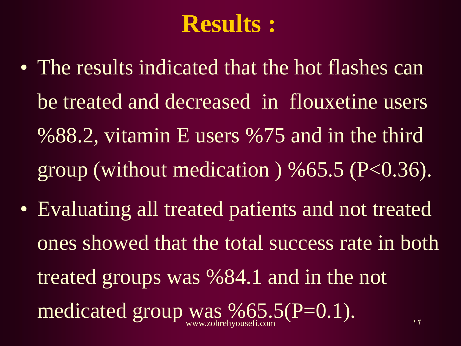## **Results :**

- The results indicated that the hot flashes can be treated and decreased in flouxetine users %88.2, vitamin E users %75 and in the third group (without medication) %65.5 ( $P< 0.36$ ).
- Evaluating all treated patients and not treated ones showed that the total success rate in both treated groups was %84.1 and in the not medicated group was %65.5(P=0.1). www.zohrehyousefi.com and the contract of the 11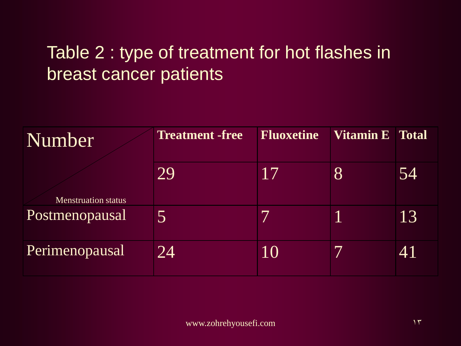### Table 2 : type of treatment for hot flashes in breast cancer patients

| Number                     | <b>Treatment -free</b> | <b>Fluoxetine</b> | <b>Vitamin E</b> Total |    |
|----------------------------|------------------------|-------------------|------------------------|----|
| <b>Menstruation status</b> | 29                     | 17                | 8                      | 54 |
| Postmenopausal             | 5                      |                   |                        | 13 |
| Perimenopausal             | 24                     | 10                |                        | 41 |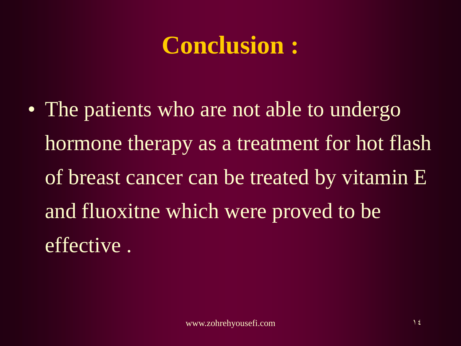## **Conclusion :**

• The patients who are not able to undergo hormone therapy as a treatment for hot flash of breast cancer can be treated by vitamin E and fluoxitne which were proved to be effective .